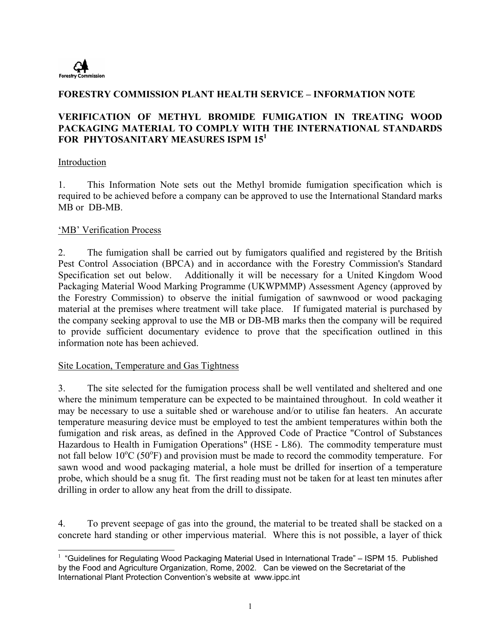

### **FORESTRY COMMISSION PLANT HEALTH SERVICE – INFORMATION NOTE**

### **VERIFICATION OF METHYL BROMIDE FUMIGATION IN TREATING WOOD PACKAGING MATERIAL TO COMPLY WITH THE INTERNATIONAL STANDARDS FOR PHYTOSANITARY MEASURES ISPM 15<sup>1</sup>**

#### Introduction

1. This Information Note sets out the Methyl bromide fumigation specification which is required to be achieved before a company can be approved to use the International Standard marks MB or DB-MB.

#### 'MB' Verification Process

2. The fumigation shall be carried out by fumigators qualified and registered by the British Pest Control Association (BPCA) and in accordance with the Forestry Commission's Standard Specification set out below. Additionally it will be necessary for a United Kingdom Wood Packaging Material Wood Marking Programme (UKWPMMP) Assessment Agency (approved by the Forestry Commission) to observe the initial fumigation of sawnwood or wood packaging material at the premises where treatment will take place. If fumigated material is purchased by the company seeking approval to use the MB or DB-MB marks then the company will be required to provide sufficient documentary evidence to prove that the specification outlined in this information note has been achieved.

#### Site Location, Temperature and Gas Tightness

3. The site selected for the fumigation process shall be well ventilated and sheltered and one where the minimum temperature can be expected to be maintained throughout. In cold weather it may be necessary to use a suitable shed or warehouse and/or to utilise fan heaters. An accurate temperature measuring device must be employed to test the ambient temperatures within both the fumigation and risk areas, as defined in the Approved Code of Practice "Control of Substances Hazardous to Health in Fumigation Operations" (HSE - L86). The commodity temperature must not fall below  $10^{\circ}$ C (50 $^{\circ}$ F) and provision must be made to record the commodity temperature. For sawn wood and wood packaging material, a hole must be drilled for insertion of a temperature probe, which should be a snug fit. The first reading must not be taken for at least ten minutes after drilling in order to allow any heat from the drill to dissipate.

4. To prevent seepage of gas into the ground, the material to be treated shall be stacked on a concrete hard standing or other impervious material. Where this is not possible, a layer of thick

 $\overline{\phantom{a}}$  $1$  "Guidelines for Regulating Wood Packaging Material Used in International Trade" – ISPM 15. Published by the Food and Agriculture Organization, Rome, 2002. Can be viewed on the Secretariat of the International Plant Protection Convention's website at www.ippc.int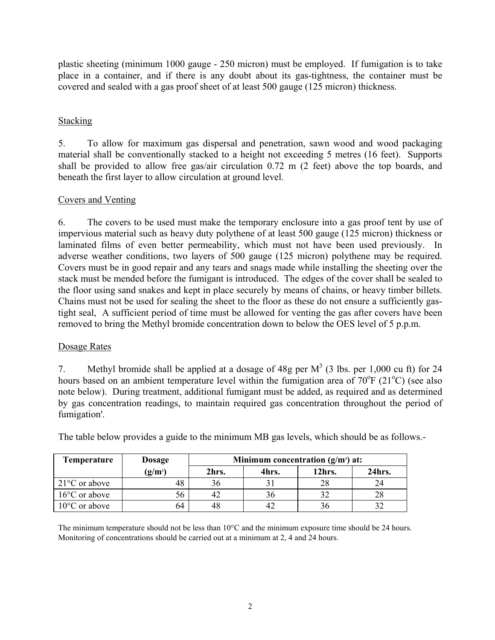plastic sheeting (minimum 1000 gauge - 250 micron) must be employed. If fumigation is to take place in a container, and if there is any doubt about its gas-tightness, the container must be covered and sealed with a gas proof sheet of at least 500 gauge (125 micron) thickness.

## Stacking

5. To allow for maximum gas dispersal and penetration, sawn wood and wood packaging material shall be conventionally stacked to a height not exceeding 5 metres (16 feet). Supports shall be provided to allow free gas/air circulation 0.72 m (2 feet) above the top boards, and beneath the first layer to allow circulation at ground level.

## Covers and Venting

6. The covers to be used must make the temporary enclosure into a gas proof tent by use of impervious material such as heavy duty polythene of at least 500 gauge (125 micron) thickness or laminated films of even better permeability, which must not have been used previously. In adverse weather conditions, two layers of 500 gauge (125 micron) polythene may be required. Covers must be in good repair and any tears and snags made while installing the sheeting over the stack must be mended before the fumigant is introduced. The edges of the cover shall be sealed to the floor using sand snakes and kept in place securely by means of chains, or heavy timber billets. Chains must not be used for sealing the sheet to the floor as these do not ensure a sufficiently gastight seal, A sufficient period of time must be allowed for venting the gas after covers have been removed to bring the Methyl bromide concentration down to below the OES level of 5 p.p.m.

#### Dosage Rates

7. Methyl bromide shall be applied at a dosage of 48g per  $M^3$  (3 lbs. per 1,000 cu ft) for 24 hours based on an ambient temperature level within the fumigation area of  $70^{\circ}$ F (21<sup>o</sup>C) (see also note below). During treatment, additional fumigant must be added, as required and as determined by gas concentration readings, to maintain required gas concentration throughout the period of fumigation'.

| Temperature                   | Dosage    | Minimum concentration $(g/m3)$ at: |       |        |        |
|-------------------------------|-----------|------------------------------------|-------|--------|--------|
|                               | $(g/m^3)$ | 2hrs.                              | 4hrs. | 12hrs. | 24hrs. |
| $\sqrt{21^{\circ}C}$ or above | 48        | 36                                 |       | 28     | 24     |
| $16^{\circ}$ C or above       | 56        | 42                                 |       |        | 28     |
| $10^{\circ}$ C or above       | 64        | 48                                 |       |        |        |

The table below provides a guide to the minimum MB gas levels, which should be as follows.-

The minimum temperature should not be less than 10°C and the minimum exposure time should be 24 hours. Monitoring of concentrations should be carried out at a minimum at 2, 4 and 24 hours.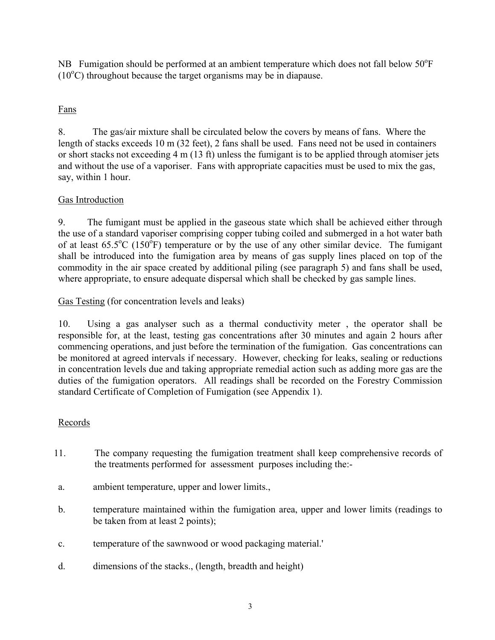NB Fumigation should be performed at an ambient temperature which does not fall below 50°F  $(10^{\circ}$ C) throughout because the target organisms may be in diapause.

# Fans

8. The gas/air mixture shall be circulated below the covers by means of fans. Where the length of stacks exceeds 10 m (32 feet), 2 fans shall be used. Fans need not be used in containers or short stacks not exceeding 4 m (13 ft) unless the fumigant is to be applied through atomiser jets and without the use of a vaporiser. Fans with appropriate capacities must be used to mix the gas, say, within 1 hour.

## Gas Introduction

9. The fumigant must be applied in the gaseous state which shall be achieved either through the use of a standard vaporiser comprising copper tubing coiled and submerged in a hot water bath of at least  $65.5^{\circ}$ C (150 $^{\circ}$ F) temperature or by the use of any other similar device. The fumigant shall be introduced into the fumigation area by means of gas supply lines placed on top of the commodity in the air space created by additional piling (see paragraph 5) and fans shall be used, where appropriate, to ensure adequate dispersal which shall be checked by gas sample lines.

Gas Testing (for concentration levels and leaks)

10. Using a gas analyser such as a thermal conductivity meter , the operator shall be responsible for, at the least, testing gas concentrations after 30 minutes and again 2 hours after commencing operations, and just before the termination of the fumigation. Gas concentrations can be monitored at agreed intervals if necessary. However, checking for leaks, sealing or reductions in concentration levels due and taking appropriate remedial action such as adding more gas are the duties of the fumigation operators. All readings shall be recorded on the Forestry Commission standard Certificate of Completion of Fumigation (see Appendix 1).

#### Records

- 11. The company requesting the fumigation treatment shall keep comprehensive records of the treatments performed for assessment purposes including the:-
- a. ambient temperature, upper and lower limits.,
- b. temperature maintained within the fumigation area, upper and lower limits (readings to be taken from at least 2 points);
- c. temperature of the sawnwood or wood packaging material.'
- d. dimensions of the stacks., (length, breadth and height)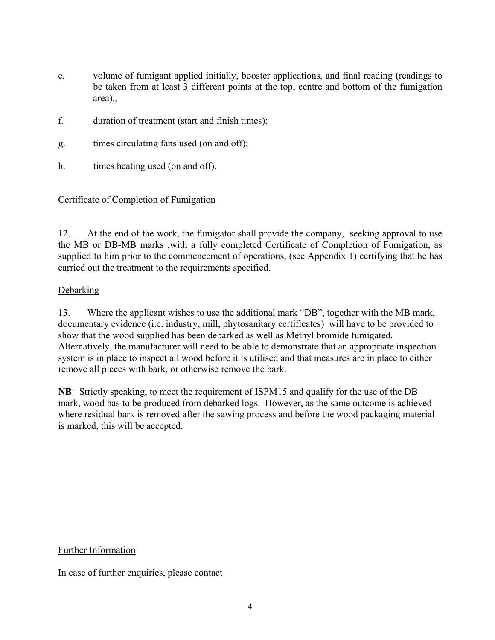- e. volume of fumigant applied initially, booster applications, and final reading (readings to be taken from at least 3 different points at the top, centre and bottom of the fumigation area).,
- f. duration of treatment (start and finish times);
- g. times circulating fans used (on and off);
- h. times heating used (on and off).

#### Certificate of Completion of Fumigation

12. At the end of the work, the fumigator shall provide the company, seeking approval to use the MB or DB-MB marks ,with a fully completed Certificate of Completion of Fumigation, as supplied to him prior to the commencement of operations, (see Appendix 1) certifying that he has carried out the treatment to the requirements specified.

#### Debarking

13. Where the applicant wishes to use the additional mark "DB", together with the MB mark, documentary evidence (i.e. industry, mill, phytosanitary certificates) will have to be provided to show that the wood supplied has been debarked as well as Methyl bromide fumigated. Alternatively, the manufacturer will need to be able to demonstrate that an appropriate inspection system is in place to inspect all wood before it is utilised and that measures are in place to either remove all pieces with bark, or otherwise remove the bark.

**NB**: Strictly speaking, to meet the requirement of ISPM15 and qualify for the use of the DB mark, wood has to be produced from debarked logs. However, as the same outcome is achieved where residual bark is removed after the sawing process and before the wood packaging material is marked, this will be accepted.

Further Information

In case of further enquiries, please contact –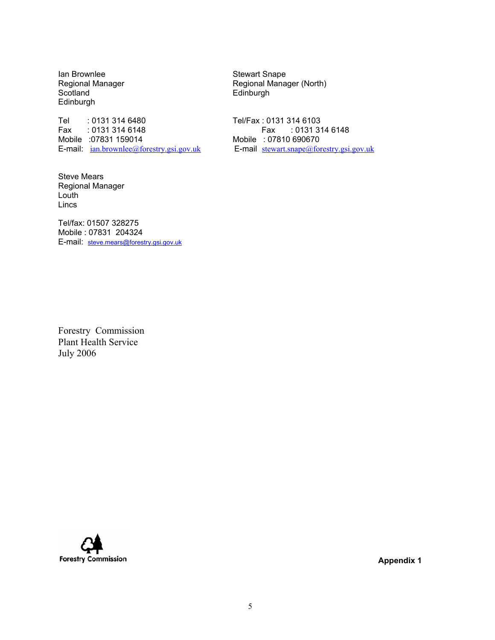Ian Brownlee Stewart Snape Scotland Edinburgh Edinburgh

Tel : 0131 314 6480<br>Fax : 0131 314 6148 Fax : 0131 314 6148 E-mail:  $ian.brownlee@forestry.gsi.gov.uk$ 

Steve Mears Regional Manager Louth Lincs

Tel/fax: 01507 328275 Mobile : 07831 204324 E-mail: steve.mears@forestry.gsi.gov.uk

Regional Manager Regional Manager (North)

Fax : 0131 314 6148 Mobile :07831 159014<br>
E-mail: ian.brownlee@forestry.gsi.gov.uk<br>
E-mail stewart.snape@forestry.gsi.gov.uk<br>
E-mail stewart.snape@forestry.gsi.gov.uk

Forestry Commission Plant Health Service July 2006

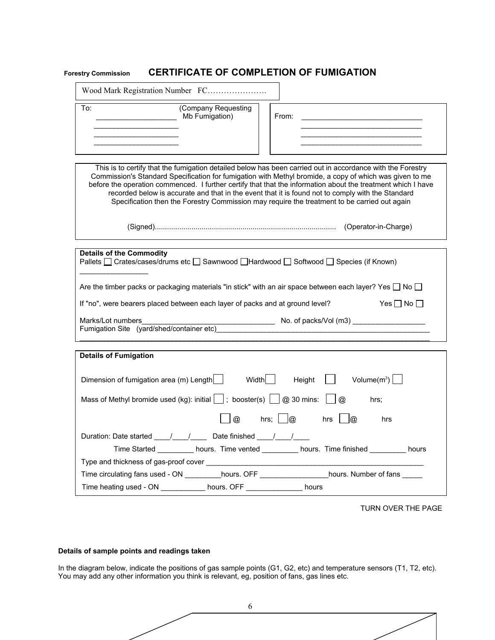## **Forestry Commission CERTIFICATE OF COMPLETION OF FUMIGATION**

| Wood Mark Registration Number FC                                                                                                                                                                                                                                                                                                                                                                                         |                                       |                                                                                                                                                                                                                                                                                                                                                                                                                                                                                                                                            |  |  |
|--------------------------------------------------------------------------------------------------------------------------------------------------------------------------------------------------------------------------------------------------------------------------------------------------------------------------------------------------------------------------------------------------------------------------|---------------------------------------|--------------------------------------------------------------------------------------------------------------------------------------------------------------------------------------------------------------------------------------------------------------------------------------------------------------------------------------------------------------------------------------------------------------------------------------------------------------------------------------------------------------------------------------------|--|--|
| To:                                                                                                                                                                                                                                                                                                                                                                                                                      | (Company Requesting<br>Mb Fumigation) | From:                                                                                                                                                                                                                                                                                                                                                                                                                                                                                                                                      |  |  |
|                                                                                                                                                                                                                                                                                                                                                                                                                          |                                       | This is to certify that the fumigation detailed below has been carried out in accordance with the Forestry<br>Commission's Standard Specification for fumigation with Methyl bromide, a copy of which was given to me<br>before the operation commenced. I further certify that that the information about the treatment which I have<br>recorded below is accurate and that in the event that it is found not to comply with the Standard<br>Specification then the Forestry Commission may require the treatment to be carried out again |  |  |
|                                                                                                                                                                                                                                                                                                                                                                                                                          |                                       |                                                                                                                                                                                                                                                                                                                                                                                                                                                                                                                                            |  |  |
| <b>Details of the Commodity</b><br>Pallets □ Crates/cases/drums etc □ Sawnwood □Hardwood □ Softwood □ Species (if Known)<br>Are the timber packs or packaging materials "in stick" with an air space between each layer? Yes $\Box$ No $\Box$<br>Yes $\Box$ No $\Box$<br>If "no", were bearers placed between each layer of packs and at ground level?<br>Marks/Lot numbers<br>Fumigation Site (yard/shed/container etc) |                                       |                                                                                                                                                                                                                                                                                                                                                                                                                                                                                                                                            |  |  |
| <b>Details of Fumigation</b>                                                                                                                                                                                                                                                                                                                                                                                             |                                       |                                                                                                                                                                                                                                                                                                                                                                                                                                                                                                                                            |  |  |
| Dimension of fumigation area (m) Length Width Width Height<br>Mass of Methyl bromide used (kg): initial $\Box$ ; booster(s) $\Box$ @ 30 mins: $\Box$ @                                                                                                                                                                                                                                                                   | $\Box$ @                              | $\Box$<br>Volume $(m^3)$<br>hrs:<br>hrs; $\Box$ @ hrs $\Box$ @<br>hrs                                                                                                                                                                                                                                                                                                                                                                                                                                                                      |  |  |
| Duration: Date started 1. 1. Date finished 1. 1.                                                                                                                                                                                                                                                                                                                                                                         |                                       |                                                                                                                                                                                                                                                                                                                                                                                                                                                                                                                                            |  |  |
| Time Started __________ hours. Time vented __________ hours. Time finished _________ hours                                                                                                                                                                                                                                                                                                                               |                                       |                                                                                                                                                                                                                                                                                                                                                                                                                                                                                                                                            |  |  |
|                                                                                                                                                                                                                                                                                                                                                                                                                          |                                       |                                                                                                                                                                                                                                                                                                                                                                                                                                                                                                                                            |  |  |
| Time circulating fans used - ON __________hours. OFF __________________hours. Number of fans _____<br>Time heating used - ON ____________ hours. OFF ______________<br>hours                                                                                                                                                                                                                                             |                                       |                                                                                                                                                                                                                                                                                                                                                                                                                                                                                                                                            |  |  |

TURN OVER THE PAGE

#### **Details of sample points and readings taken**

In the diagram below, indicate the positions of gas sample points (G1, G2, etc) and temperature sensors (T1, T2, etc). You may add any other information you think is relevant, eg, position of fans, gas lines etc.